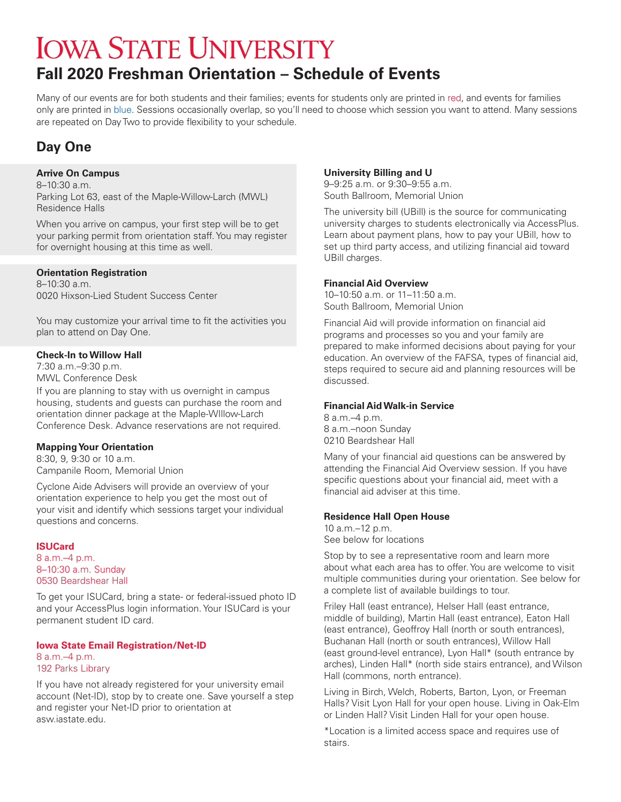# **IOWA STATE UNIVERSITY Fall 2020 Freshman Orientation – Schedule of Events**

Many of our events are for both students and their families; events for students only are printed in red, and events for families only are printed in blue. Sessions occasionally overlap, so you'll need to choose which session you want to attend. Many sessions are repeated on Day Two to provide flexibility to your schedule.

## **Day One**

## **Arrive On Campus**

8–10:30 a.m. Parking Lot 63, east of the Maple-Willow-Larch (MWL) Residence Halls

When you arrive on campus, your first step will be to get your parking permit from orientation staff. You may register for overnight housing at this time as well.

## **Orientation Registration**

8–10:30 a.m. 0020 Hixson-Lied Student Success Center

You may customize your arrival time to fit the activities you plan to attend on Day One.

## **Check-In to Willow Hall**

7:30 a.m.–9:30 p.m. MWL Conference Desk

If you are planning to stay with us overnight in campus housing, students and guests can purchase the room and orientation dinner package at the Maple-WIllow-Larch Conference Desk. Advance reservations are not required.

## **Mapping Your Orientation**

8:30, 9, 9:30 or 10 a.m. Campanile Room, Memorial Union

Cyclone Aide Advisers will provide an overview of your orientation experience to help you get the most out of your visit and identify which sessions target your individual questions and concerns.

## **ISUCard**

8 a.m.–4 p.m. 8–10:30 a.m. Sunday 0530 Beardshear Hall

To get your ISUCard, bring a state- or federal-issued photo ID and your AccessPlus login information. Your ISUCard is your permanent student ID card.

#### **Iowa State Email Registration/Net-ID** 8 a.m.–4 p.m.

## 192 Parks Library

If you have not already registered for your university email account (Net-ID), stop by to create one. Save yourself a step and register your Net-ID prior to orientation at asw.iastate.edu.

## **University Billing and U**

9–9:25 a.m. or 9:30–9:55 a.m. South Ballroom, Memorial Union

The university bill (UBill) is the source for communicating university charges to students electronically via AccessPlus. Learn about payment plans, how to pay your UBill, how to set up third party access, and utilizing financial aid toward UBill charges.

## **Financial Aid Overview**

10–10:50 a.m. or 11–11:50 a.m. South Ballroom, Memorial Union

Financial Aid will provide information on financial aid programs and processes so you and your family are prepared to make informed decisions about paying for your education. An overview of the FAFSA, types of financial aid, steps required to secure aid and planning resources will be discussed.

## **Financial Aid Walk-in Service**

8 a.m.–4 p.m. 8 a.m.–noon Sunday 0210 Beardshear Hall

Many of your financial aid questions can be answered by attending the Financial Aid Overview session. If you have specific questions about your financial aid, meet with a financial aid adviser at this time.

## **Residence Hall Open House**

10 a.m.–12 p.m. See below for locations

Stop by to see a representative room and learn more about what each area has to offer. You are welcome to visit multiple communities during your orientation. See below for a complete list of available buildings to tour.

Friley Hall (east entrance), Helser Hall (east entrance, middle of building), Martin Hall (east entrance), Eaton Hall (east entrance), Geoffroy Hall (north or south entrances), Buchanan Hall (north or south entrances), Willow Hall (east ground-level entrance), Lyon Hall\* (south entrance by arches), Linden Hall\* (north side stairs entrance), and Wilson Hall (commons, north entrance).

Living in Birch, Welch, Roberts, Barton, Lyon, or Freeman Halls? Visit Lyon Hall for your open house. Living in Oak-Elm or Linden Hall? Visit Linden Hall for your open house.

\*Location is a limited access space and requires use of stairs.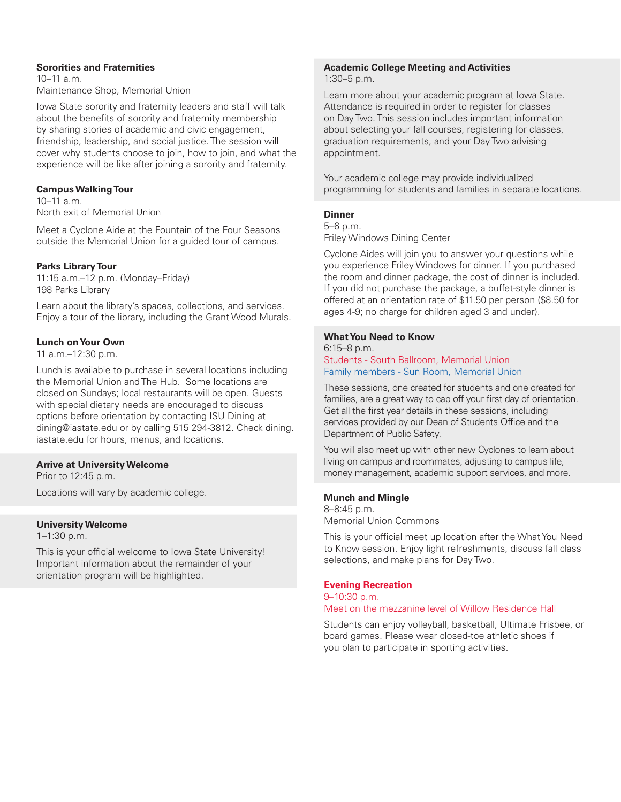## **Sororities and Fraternities**

 $10-11$  a.m. Maintenance Shop, Memorial Union

Iowa State sorority and fraternity leaders and staff will talk about the benefits of sorority and fraternity membership by sharing stories of academic and civic engagement, friendship, leadership, and social justice. The session will cover why students choose to join, how to join, and what the experience will be like after joining a sorority and fraternity.

## **Campus Walking Tour**

10–11 a.m. North exit of Memorial Union

Meet a Cyclone Aide at the Fountain of the Four Seasons outside the Memorial Union for a guided tour of campus.

## **Parks Library Tour**

11:15 a.m.–12 p.m. (Monday–Friday) 198 Parks Library

Learn about the library's spaces, collections, and services. Enjoy a tour of the library, including the Grant Wood Murals.

## **Lunch on Your Own**

11 a.m.–12:30 p.m.

Lunch is available to purchase in several locations including the Memorial Union and The Hub. Some locations are closed on Sundays; local restaurants will be open. Guests with special dietary needs are encouraged to discuss options before orientation by contacting ISU Dining at dining@iastate.edu or by calling 515 294-3812. Check dining. iastate.edu for hours, menus, and locations.

## **Arrive at University Welcome**

Prior to 12:45 p.m.

Locations will vary by academic college.

## **University Welcome**

1–1:30 p.m.

This is your official welcome to Iowa State University! Important information about the remainder of your orientation program will be highlighted.

#### **Academic College Meeting and Activities** 1:30–5 p.m.

Learn more about your academic program at Iowa State. Attendance is required in order to register for classes on Day Two. This session includes important information about selecting your fall courses, registering for classes, graduation requirements, and your Day Two advising appointment.

Your academic college may provide individualized programming for students and families in separate locations.

## **Dinner**

5–6 p.m.

Friley Windows Dining Center

Cyclone Aides will join you to answer your questions while you experience Friley Windows for dinner. If you purchased the room and dinner package, the cost of dinner is included. If you did not purchase the package, a buffet-style dinner is offered at an orientation rate of \$11.50 per person (\$8.50 for ages 4-9; no charge for children aged 3 and under).

## **What You Need to Know**

### 6:15–8 p.m. Students - South Ballroom, Memorial Union Family members - Sun Room, Memorial Union

These sessions, one created for students and one created for families, are a great way to cap off your first day of orientation. Get all the first year details in these sessions, including services provided by our Dean of Students Office and the Department of Public Safety.

You will also meet up with other new Cyclones to learn about living on campus and roommates, adjusting to campus life, money management, academic support services, and more.

## **Munch and Mingle**

8–8:45 p.m. Memorial Union Commons

This is your official meet up location after the What You Need to Know session. Enjoy light refreshments, discuss fall class selections, and make plans for Day Two.

## **Evening Recreation**

9–10:30 p.m.

Meet on the mezzanine level of Willow Residence Hall

Students can enjoy volleyball, basketball, Ultimate Frisbee, or board games. Please wear closed-toe athletic shoes if you plan to participate in sporting activities.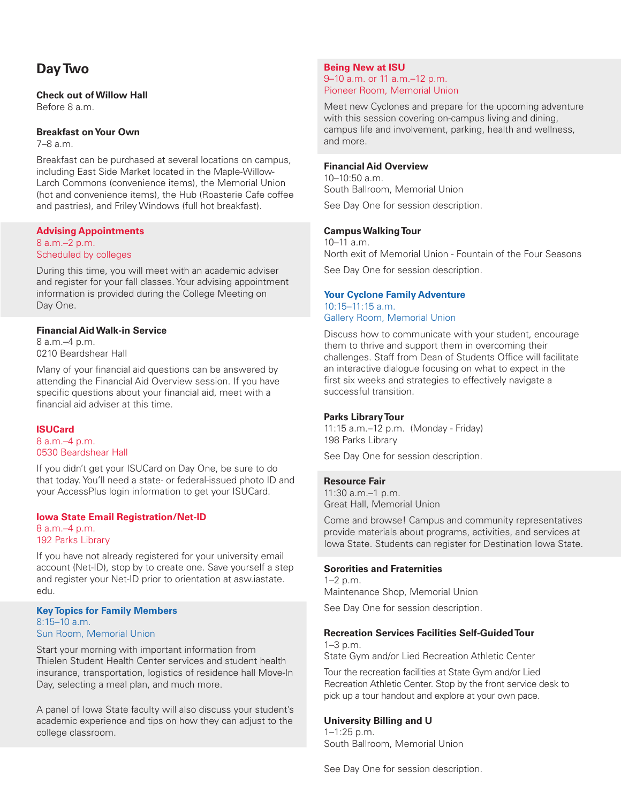## **Day Two**

## **Check out of Willow Hall**

Before 8 a.m.

## **Breakfast on Your Own**

7–8 a.m.

Breakfast can be purchased at several locations on campus, including East Side Market located in the Maple-Willow-Larch Commons (convenience items), the Memorial Union (hot and convenience items), the Hub (Roasterie Cafe coffee and pastries), and Friley Windows (full hot breakfast).

## **Advising Appointments**

8 a.m.–2 p.m. Scheduled by colleges

During this time, you will meet with an academic adviser and register for your fall classes. Your advising appointment information is provided during the College Meeting on Day One.

## **Financial Aid Walk-in Service**

8 a.m.–4 p.m. 0210 Beardshear Hall

Many of your financial aid questions can be answered by attending the Financial Aid Overview session. If you have specific questions about your financial aid, meet with a financial aid adviser at this time.

## **ISUCard**

8 a.m.–4 p.m. 0530 Beardshear Hall

If you didn't get your ISUCard on Day One, be sure to do that today. You'll need a state- or federal-issued photo ID and your AccessPlus login information to get your ISUCard.

## **Iowa State Email Registration/Net-ID**

8 a.m.–4 p.m. 192 Parks Library

If you have not already registered for your university email account (Net-ID), stop by to create one. Save yourself a step and register your Net-ID prior to orientation at asw.iastate. edu.

#### **Key Topics for Family Members**  $8:15-10$  a.m. Sun Room, Memorial Union

Start your morning with important information from Thielen Student Health Center services and student health insurance, transportation, logistics of residence hall Move-In Day, selecting a meal plan, and much more.

A panel of Iowa State faculty will also discuss your student's academic experience and tips on how they can adjust to the college classroom.

## **Being New at ISU** 9–10 a.m. or 11 a.m.–12 p.m. Pioneer Room, Memorial Union

Meet new Cyclones and prepare for the upcoming adventure with this session covering on-campus living and dining, campus life and involvement, parking, health and wellness, and more.

## **Financial Aid Overview**

10–10:50 a.m. South Ballroom, Memorial Union See Day One for session description.

## **Campus Walking Tour**

10–11 a.m. North exit of Memorial Union - Fountain of the Four Seasons See Day One for session description.

#### **Your Cyclone Family Adventure** 10:15–11:15 a.m.

Gallery Room, Memorial Union

Discuss how to communicate with your student, encourage them to thrive and support them in overcoming their challenges. Staff from Dean of Students Office will facilitate an interactive dialogue focusing on what to expect in the first six weeks and strategies to effectively navigate a successful transition.

## **Parks Library Tour**

11:15 a.m.–12 p.m. (Monday - Friday) 198 Parks Library

See Day One for session description.

## **Resource Fair**

11:30 a.m.–1 p.m. Great Hall, Memorial Union

Come and browse! Campus and community representatives provide materials about programs, activities, and services at Iowa State. Students can register for Destination Iowa State.

## **Sororities and Fraternities**

1–2 p.m. Maintenance Shop, Memorial Union

See Day One for session description.

## **Recreation Services Facilities Self-Guided Tour**

1–3 p.m.

State Gym and/or Lied Recreation Athletic Center

Tour the recreation facilities at State Gym and/or Lied Recreation Athletic Center. Stop by the front service desk to pick up a tour handout and explore at your own pace.

## **University Billing and U**

1–1:25 p.m. South Ballroom, Memorial Union

See Day One for session description.